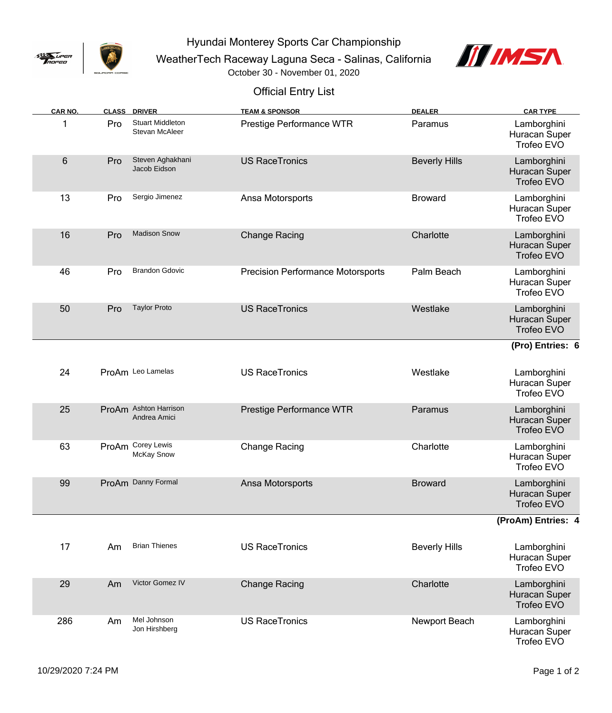

Hyundai Monterey Sports Car Championship

WeatherTech Raceway Laguna Seca - Salinas, California



October 30 - November 01, 2020

## Official Entry List

| CAR NO. |     | <b>CLASS DRIVER</b>                       | <b>TEAM &amp; SPONSOR</b>                | <b>DEALER</b>        | <b>CAR TYPE</b>                            |
|---------|-----|-------------------------------------------|------------------------------------------|----------------------|--------------------------------------------|
|         | Pro | <b>Stuart Middleton</b><br>Stevan McAleer | Prestige Performance WTR                 | Paramus              | Lamborghini<br>Huracan Super<br>Trofeo EVO |
| 6       | Pro | Steven Aghakhani<br>Jacob Eidson          | <b>US RaceTronics</b>                    | <b>Beverly Hills</b> | Lamborghini<br>Huracan Super<br>Trofeo EVO |
| 13      | Pro | Sergio Jimenez                            | Ansa Motorsports                         | <b>Broward</b>       | Lamborghini<br>Huracan Super<br>Trofeo EVO |
| 16      | Pro | <b>Madison Snow</b>                       | <b>Change Racing</b>                     | Charlotte            | Lamborghini<br>Huracan Super<br>Trofeo EVO |
| 46      | Pro | <b>Brandon Gdovic</b>                     | <b>Precision Performance Motorsports</b> | Palm Beach           | Lamborghini<br>Huracan Super<br>Trofeo EVO |
| 50      | Pro | <b>Taylor Proto</b>                       | <b>US RaceTronics</b>                    | Westlake             | Lamborghini<br>Huracan Super<br>Trofeo EVO |
|         |     |                                           |                                          |                      | (Pro) Entries: 6                           |
| 24      |     | ProAm Leo Lamelas                         | <b>US RaceTronics</b>                    | Westlake             | Lamborghini<br>Huracan Super<br>Trofeo EVO |
| 25      |     | ProAm Ashton Harrison<br>Andrea Amici     | Prestige Performance WTR                 | Paramus              | Lamborghini<br>Huracan Super<br>Trofeo EVO |
| 63      |     | ProAm Corey Lewis<br><b>McKay Snow</b>    | <b>Change Racing</b>                     | Charlotte            | Lamborghini<br>Huracan Super<br>Trofeo EVO |
| 99      |     | ProAm Danny Formal                        | Ansa Motorsports                         | <b>Broward</b>       | Lamborghini<br>Huracan Super<br>Trofeo EVO |
|         |     |                                           |                                          |                      | (ProAm) Entries: 4                         |
| 17      | Am  | <b>Brian Thienes</b>                      | <b>US RaceTronics</b>                    | <b>Beverly Hills</b> | Lamborghini<br>Huracan Super<br>Trofeo EVO |
| 29      | Am  | Victor Gomez IV                           | <b>Change Racing</b>                     | Charlotte            | Lamborghini<br>Huracan Super<br>Trofeo EVO |
| 286     | Am  | Mel Johnson<br>Jon Hirshberg              | <b>US RaceTronics</b>                    | Newport Beach        | Lamborghini<br>Huracan Super<br>Trofeo EVO |